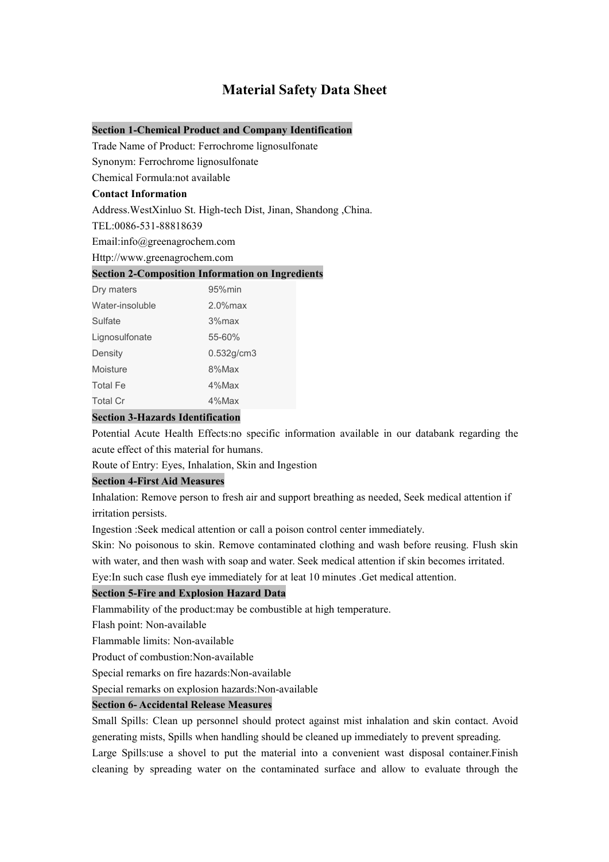# **Material Safety Data Sheet**

#### **Section 1-Chemical Product and Company Identification**

Trade Name of Product: Ferrochrome lignosulfonate

Synonym: Ferrochrome lignosulfonate

Chemical Formula:not available

### **Contact Information**

Address. WestXinluo St. High-tech Dist, Jinan, Shandong ,China.

TEL:0086-531-88818639

Email:info@greenagrochem.com

Http://www.greenagrochem.com

#### **Section 2-Composition Information on Ingredients**

| Dry maters      | 95%min      |  |
|-----------------|-------------|--|
| Water-insoluble | $2.0\%$ max |  |
| Sulfate         | 3%max       |  |
| Lignosulfonate  | 55-60%      |  |
| Density         | 0.532g/cm3  |  |
| Moisture        | 8%Max       |  |
| <b>Total Fe</b> | 4%Max       |  |
| <b>Total Cr</b> | 4%Max       |  |

### **Section 3-Hazards Identification**

Potential Acute Health Effects:no specific information available in our databank regarding the acute effect of this material for humans.

Route of Entry: Eyes, Inhalation, Skin and Ingestion

## **Section 4-First Aid Measures**

Inhalation: Remove person to fresh air and support breathing as needed, Seek medical attention if irritation persists.

Ingestion :Seek medical attention or call a poison control center immediately.

Skin: No poisonous to skin. Remove contaminated clothing and wash before reusing. Flush skin with water, and then wash with soap and water. Seek medical attention if skin becomes irritated.

Eye: In such case flush eye immediately for at leat 10 minutes . Get medical attention.

### **Section 5-Fire and Explosion Hazard Data**

Flammability of the product:may be combustible at high temperature.

Flash point: Non-available

Flammable limits: Non-available

Product of combustion:Non-available

Special remarks on fire hazards:Non-available

Special remarks on explosion hazards:Non-available

### **Section 6- Accidental Release Measures**

Small Spills: Clean up personnel should protect against mist inhalation and skin contact. Avoid generating mists, Spills when handling should be cleaned up immediately to prevent spreading. Large Spills:use a shovel to put the material into a convenient wast disposal container. Finish cleaning by spreading water on the contaminated surface and allow to evaluate through the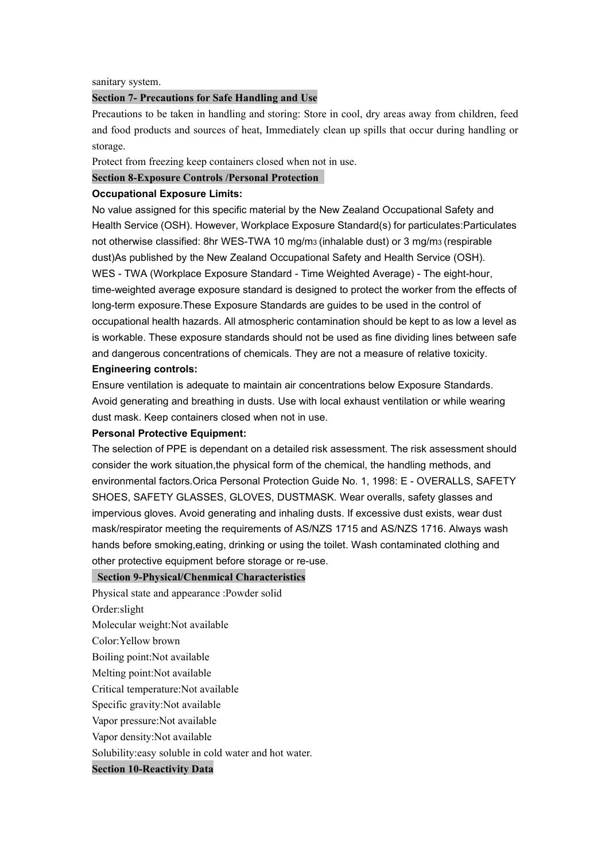#### sanitary system.

### **Section 7- Precautions for Safe Handling and Use**

Precautions to be taken in handling and storing: Store in cool, dry areas away from children, feed and food products and sources of heat, Immediately clean up spills thatoccur during handling or storage.

Protect from freezing keep containers closed when not in use.

**Section 8-Exposure Controls /Personal Protection**

#### **Occupational Exposure Limits:**

No value assigned for this specific material by the New Zealand Occupational Safety and Health Service (OSH). However, Workplace Exposure Standard(s) for particulates: Particulates not otherwise classified: 8hr WES-TWA 10 mg/m3(inhalable dust) or 3 mg/m3(respirable dust)As published by the New Zealand Occupational Safety and Health Service (OSH). WES - TWA (Workplace Exposure Standard - Time Weighted Average) - The eight-hour, time-weighted average exposure standard is designed to protect the worker from the effects of long-term exposure.These Exposure Standards are guides to be used in the control of occupational health hazards. All atmospheric contamination should be kept to as low a level as is workable. These exposure standards should not be used as fine dividing lines between safe and dangerous concentrations of chemicals. They are not a measure ofrelative toxicity.

### **Engineering controls:**

Ensure ventilation is adequate to maintain air concentrations below Exposure Standards. Avoid generating and breathing in dusts. Use with local exhaust ventilation or while wearing dust mask. Keep containers closed when not in use.

#### **Personal Protective Equipment:**

The selection of PPE is dependant on a detailed risk assessment. The risk assessment should consider the work situation,the physical form of the chemical, the handling methods, and environmental factors.Orica Personal Protection Guide No. 1, 1998: E - OVERALLS, SAFETY SHOES, SAFETY GLASSES, GLOVES, DUSTMASK. Wear overalls, safety glasses and impervious gloves. Avoid generating and inhaling dusts. If excessive dust exists, wear dust mask/respirator meeting the requirements of AS/NZS 1715 and AS/NZS 1716. Always wash hands before smoking,eating, drinking or using the toilet. Wash contaminated clothing and other protective equipment before storage or re-use.

### **Section 9-Physical/Chenmical Characteristics**

- Physical state and appearance :Powder solid
- Order:slight
- Molecular weight:Not available
- Color:Yellow brown
- Boiling point:Not available
- Melting point:Not available
- Critical temperature:Not available
- Specific gravity:Not available
- Vapor pressure:Not available
- Vapor density:Not available
- Solubility:easy soluble in cold water and hot water.

#### **Section 10-Reactivity Data**